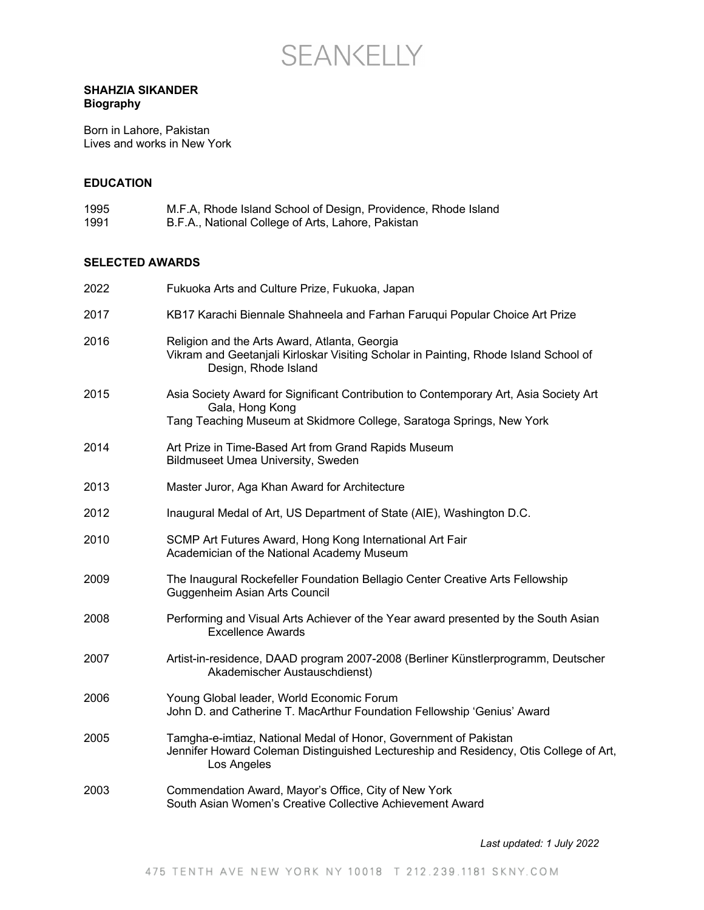

## **SHAHZIA SIKANDER Biography**

Born in Lahore, Pakistan Lives and works in New York

### **EDUCATION**

| 1995 | M.F.A, Rhode Island School of Design, Providence, Rhode Island |
|------|----------------------------------------------------------------|
| 1991 | B.F.A., National College of Arts, Lahore, Pakistan             |

# **SELECTED AWARDS**

| 2022 | Fukuoka Arts and Culture Prize, Fukuoka, Japan                                                                                                                                   |
|------|----------------------------------------------------------------------------------------------------------------------------------------------------------------------------------|
| 2017 | KB17 Karachi Biennale Shahneela and Farhan Faruqui Popular Choice Art Prize                                                                                                      |
| 2016 | Religion and the Arts Award, Atlanta, Georgia<br>Vikram and Geetanjali Kirloskar Visiting Scholar in Painting, Rhode Island School of<br>Design, Rhode Island                    |
| 2015 | Asia Society Award for Significant Contribution to Contemporary Art, Asia Society Art<br>Gala, Hong Kong<br>Tang Teaching Museum at Skidmore College, Saratoga Springs, New York |
| 2014 | Art Prize in Time-Based Art from Grand Rapids Museum<br><b>Bildmuseet Umea University, Sweden</b>                                                                                |
| 2013 | Master Juror, Aga Khan Award for Architecture                                                                                                                                    |
| 2012 | Inaugural Medal of Art, US Department of State (AIE), Washington D.C.                                                                                                            |
| 2010 | SCMP Art Futures Award, Hong Kong International Art Fair<br>Academician of the National Academy Museum                                                                           |
| 2009 | The Inaugural Rockefeller Foundation Bellagio Center Creative Arts Fellowship<br>Guggenheim Asian Arts Council                                                                   |
| 2008 | Performing and Visual Arts Achiever of the Year award presented by the South Asian<br><b>Excellence Awards</b>                                                                   |
| 2007 | Artist-in-residence, DAAD program 2007-2008 (Berliner Künstlerprogramm, Deutscher<br>Akademischer Austauschdienst)                                                               |
| 2006 | Young Global leader, World Economic Forum<br>John D. and Catherine T. MacArthur Foundation Fellowship 'Genius' Award                                                             |
| 2005 | Tamgha-e-imtiaz, National Medal of Honor, Government of Pakistan<br>Jennifer Howard Coleman Distinguished Lectureship and Residency, Otis College of Art,<br>Los Angeles         |
| 2003 | Commendation Award, Mayor's Office, City of New York<br>South Asian Women's Creative Collective Achievement Award                                                                |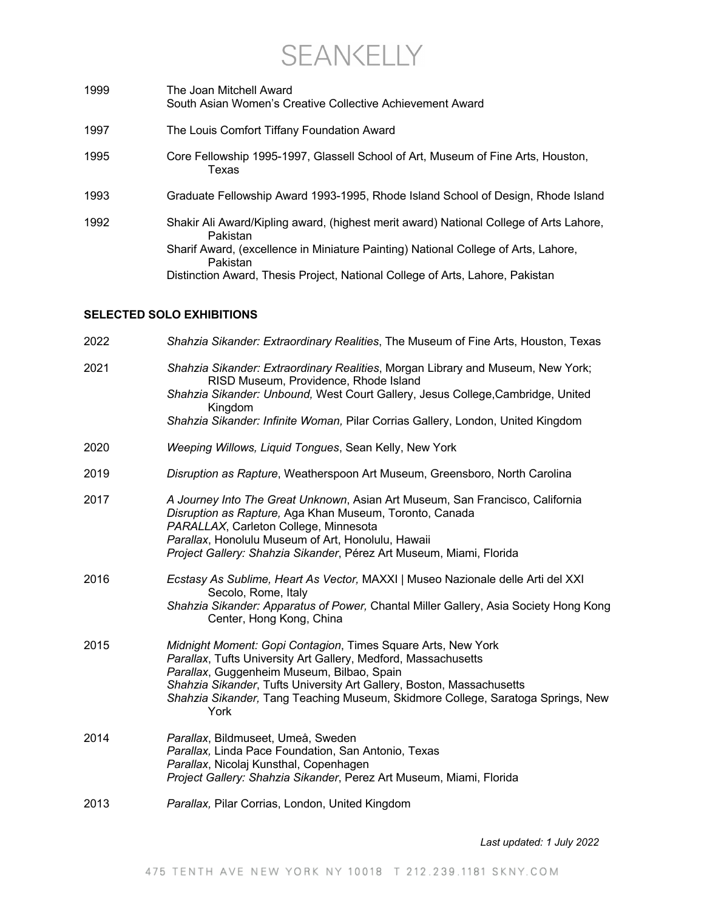**SEANKELLY** 

1999 The Joan Mitchell Award South Asian Women's Creative Collective Achievement Award 1997 The Louis Comfort Tiffany Foundation Award 1995 Core Fellowship 1995-1997, Glassell School of Art, Museum of Fine Arts, Houston, Texas 1993 Graduate Fellowship Award 1993-1995, Rhode Island School of Design, Rhode Island 1992 Shakir Ali Award/Kipling award, (highest merit award) National College of Arts Lahore, Pakistan Sharif Award, (excellence in Miniature Painting) National College of Arts, Lahore, Pakistan Distinction Award, Thesis Project, National College of Arts, Lahore, Pakistan

## **SELECTED SOLO EXHIBITIONS**

| 2022 | Shahzia Sikander: Extraordinary Realities, The Museum of Fine Arts, Houston, Texas                                                                                                                                                                                                                                                               |
|------|--------------------------------------------------------------------------------------------------------------------------------------------------------------------------------------------------------------------------------------------------------------------------------------------------------------------------------------------------|
| 2021 | Shahzia Sikander: Extraordinary Realities, Morgan Library and Museum, New York;<br>RISD Museum, Providence, Rhode Island<br>Shahzia Sikander: Unbound, West Court Gallery, Jesus College, Cambridge, United<br>Kingdom<br>Shahzia Sikander: Infinite Woman, Pilar Corrias Gallery, London, United Kingdom                                        |
| 2020 | Weeping Willows, Liquid Tongues, Sean Kelly, New York                                                                                                                                                                                                                                                                                            |
| 2019 | Disruption as Rapture, Weatherspoon Art Museum, Greensboro, North Carolina                                                                                                                                                                                                                                                                       |
| 2017 | A Journey Into The Great Unknown, Asian Art Museum, San Francisco, California<br>Disruption as Rapture, Aga Khan Museum, Toronto, Canada<br>PARALLAX, Carleton College, Minnesota<br>Parallax, Honolulu Museum of Art, Honolulu, Hawaii<br>Project Gallery: Shahzia Sikander, Pérez Art Museum, Miami, Florida                                   |
| 2016 | Ecstasy As Sublime, Heart As Vector, MAXXI   Museo Nazionale delle Arti del XXI<br>Secolo, Rome, Italy<br>Shahzia Sikander: Apparatus of Power, Chantal Miller Gallery, Asia Society Hong Kong<br>Center, Hong Kong, China                                                                                                                       |
| 2015 | Midnight Moment: Gopi Contagion, Times Square Arts, New York<br>Parallax, Tufts University Art Gallery, Medford, Massachusetts<br>Parallax, Guggenheim Museum, Bilbao, Spain<br>Shahzia Sikander, Tufts University Art Gallery, Boston, Massachusetts<br>Shahzia Sikander, Tang Teaching Museum, Skidmore College, Saratoga Springs, New<br>York |
| 2014 | Parallax, Bildmuseet, Umeå, Sweden<br>Parallax, Linda Pace Foundation, San Antonio, Texas<br>Parallax, Nicolaj Kunsthal, Copenhagen<br>Project Gallery: Shahzia Sikander, Perez Art Museum, Miami, Florida                                                                                                                                       |
| 2013 | Parallax, Pilar Corrias, London, United Kingdom                                                                                                                                                                                                                                                                                                  |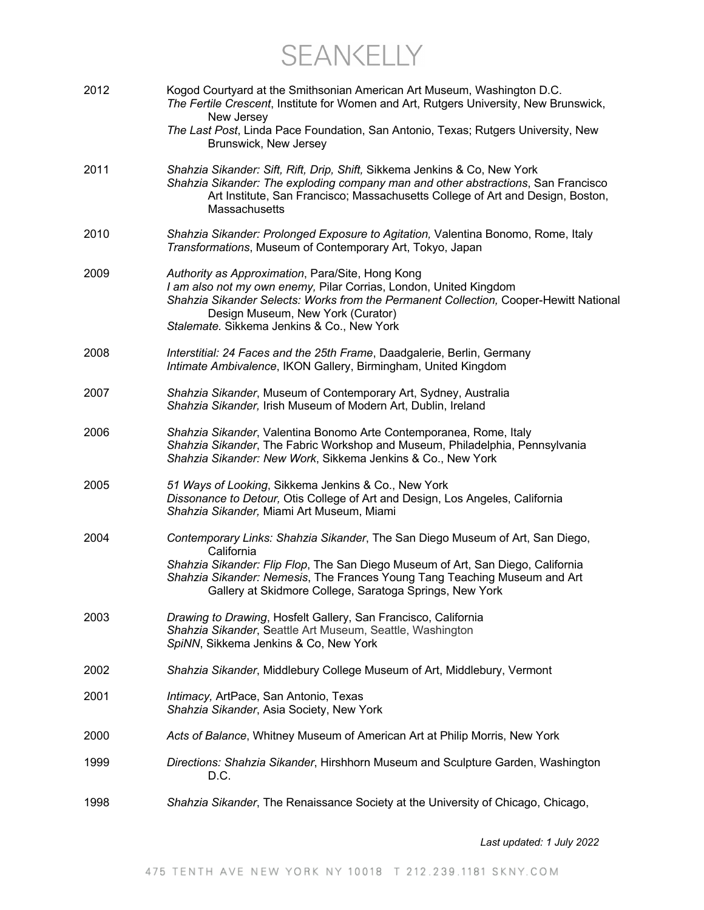SEANKELLY

| 2012 | Kogod Courtyard at the Smithsonian American Art Museum, Washington D.C.<br>The Fertile Crescent, Institute for Women and Art, Rutgers University, New Brunswick,<br>New Jersey<br>The Last Post, Linda Pace Foundation, San Antonio, Texas; Rutgers University, New<br>Brunswick, New Jersey                           |
|------|------------------------------------------------------------------------------------------------------------------------------------------------------------------------------------------------------------------------------------------------------------------------------------------------------------------------|
| 2011 | Shahzia Sikander: Sift, Rift, Drip, Shift, Sikkema Jenkins & Co, New York<br>Shahzia Sikander: The exploding company man and other abstractions, San Francisco<br>Art Institute, San Francisco; Massachusetts College of Art and Design, Boston,<br>Massachusetts                                                      |
| 2010 | Shahzia Sikander: Prolonged Exposure to Agitation, Valentina Bonomo, Rome, Italy<br>Transformations, Museum of Contemporary Art, Tokyo, Japan                                                                                                                                                                          |
| 2009 | Authority as Approximation, Para/Site, Hong Kong<br>I am also not my own enemy, Pilar Corrias, London, United Kingdom<br>Shahzia Sikander Selects: Works from the Permanent Collection, Cooper-Hewitt National<br>Design Museum, New York (Curator)<br>Stalemate. Sikkema Jenkins & Co., New York                      |
| 2008 | Interstitial: 24 Faces and the 25th Frame, Daadgalerie, Berlin, Germany<br>Intimate Ambivalence, IKON Gallery, Birmingham, United Kingdom                                                                                                                                                                              |
| 2007 | Shahzia Sikander, Museum of Contemporary Art, Sydney, Australia<br>Shahzia Sikander, Irish Museum of Modern Art, Dublin, Ireland                                                                                                                                                                                       |
| 2006 | Shahzia Sikander, Valentina Bonomo Arte Contemporanea, Rome, Italy<br>Shahzia Sikander, The Fabric Workshop and Museum, Philadelphia, Pennsylvania<br>Shahzia Sikander: New Work, Sikkema Jenkins & Co., New York                                                                                                      |
| 2005 | 51 Ways of Looking, Sikkema Jenkins & Co., New York<br>Dissonance to Detour, Otis College of Art and Design, Los Angeles, California<br>Shahzia Sikander, Miami Art Museum, Miami                                                                                                                                      |
| 2004 | Contemporary Links: Shahzia Sikander, The San Diego Museum of Art, San Diego,<br>California<br>Shahzia Sikander: Flip Flop, The San Diego Museum of Art, San Diego, California<br>Shahzia Sikander: Nemesis, The Frances Young Tang Teaching Museum and Art<br>Gallery at Skidmore College, Saratoga Springs, New York |
| 2003 | Drawing to Drawing, Hosfelt Gallery, San Francisco, California<br>Shahzia Sikander, Seattle Art Museum, Seattle, Washington<br>SpiNN, Sikkema Jenkins & Co, New York                                                                                                                                                   |
| 2002 | Shahzia Sikander, Middlebury College Museum of Art, Middlebury, Vermont                                                                                                                                                                                                                                                |
| 2001 | Intimacy, ArtPace, San Antonio, Texas<br>Shahzia Sikander, Asia Society, New York                                                                                                                                                                                                                                      |
| 2000 | Acts of Balance, Whitney Museum of American Art at Philip Morris, New York                                                                                                                                                                                                                                             |
| 1999 | Directions: Shahzia Sikander, Hirshhorn Museum and Sculpture Garden, Washington<br>D.C.                                                                                                                                                                                                                                |
| 1998 | Shahzia Sikander, The Renaissance Society at the University of Chicago, Chicago,                                                                                                                                                                                                                                       |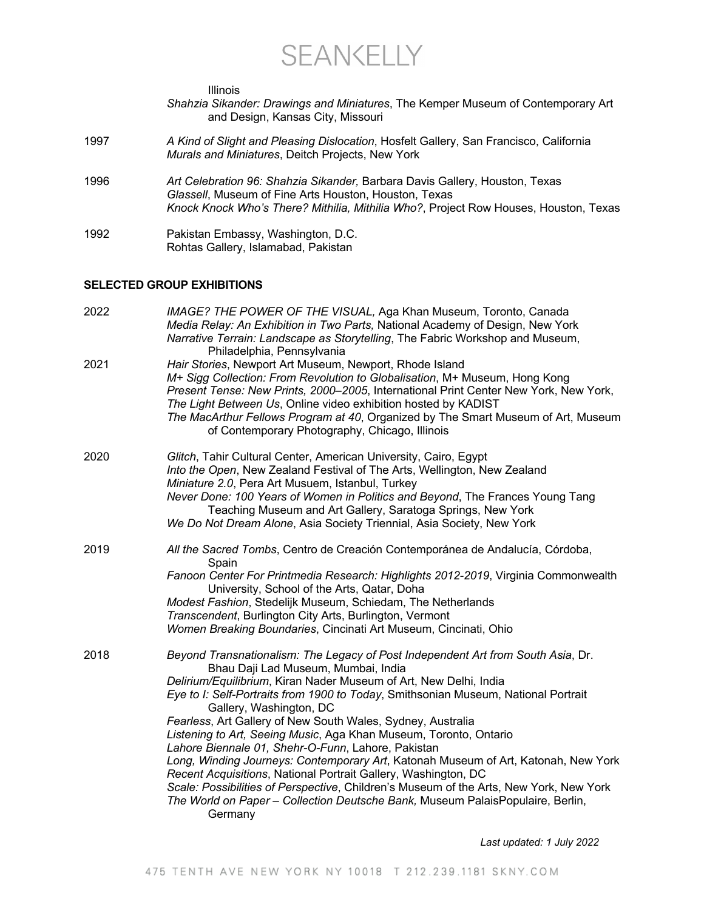SEANKELLY

*Shahzia Sikander: Drawings and Miniatures*, The Kemper Museum of Contemporary Art

Illinois

|      | and Design, Kansas City, Missouri                                                                                                                                                                                                                                                                                                                                                                                                                                                                                                                                                                                                                                                                                                                                                                                                                      |
|------|--------------------------------------------------------------------------------------------------------------------------------------------------------------------------------------------------------------------------------------------------------------------------------------------------------------------------------------------------------------------------------------------------------------------------------------------------------------------------------------------------------------------------------------------------------------------------------------------------------------------------------------------------------------------------------------------------------------------------------------------------------------------------------------------------------------------------------------------------------|
| 1997 | A Kind of Slight and Pleasing Dislocation, Hosfelt Gallery, San Francisco, California<br>Murals and Miniatures, Deitch Projects, New York                                                                                                                                                                                                                                                                                                                                                                                                                                                                                                                                                                                                                                                                                                              |
| 1996 | Art Celebration 96: Shahzia Sikander, Barbara Davis Gallery, Houston, Texas<br>Glassell, Museum of Fine Arts Houston, Houston, Texas<br>Knock Knock Who's There? Mithilia, Mithilia Who?, Project Row Houses, Houston, Texas                                                                                                                                                                                                                                                                                                                                                                                                                                                                                                                                                                                                                           |
| 1992 | Pakistan Embassy, Washington, D.C.<br>Rohtas Gallery, Islamabad, Pakistan                                                                                                                                                                                                                                                                                                                                                                                                                                                                                                                                                                                                                                                                                                                                                                              |
|      | <b>SELECTED GROUP EXHIBITIONS</b>                                                                                                                                                                                                                                                                                                                                                                                                                                                                                                                                                                                                                                                                                                                                                                                                                      |
| 2022 | IMAGE? THE POWER OF THE VISUAL, Aga Khan Museum, Toronto, Canada<br>Media Relay: An Exhibition in Two Parts, National Academy of Design, New York<br>Narrative Terrain: Landscape as Storytelling, The Fabric Workshop and Museum,<br>Philadelphia, Pennsylvania                                                                                                                                                                                                                                                                                                                                                                                                                                                                                                                                                                                       |
| 2021 | Hair Stories, Newport Art Museum, Newport, Rhode Island<br>M+ Sigg Collection: From Revolution to Globalisation, M+ Museum, Hong Kong<br>Present Tense: New Prints, 2000-2005, International Print Center New York, New York,<br>The Light Between Us, Online video exhibition hosted by KADIST<br>The MacArthur Fellows Program at 40, Organized by The Smart Museum of Art, Museum<br>of Contemporary Photography, Chicago, Illinois                                                                                                                                                                                                                                                                                                                                                                                                                 |
| 2020 | Glitch, Tahir Cultural Center, American University, Cairo, Egypt<br>Into the Open, New Zealand Festival of The Arts, Wellington, New Zealand<br>Miniature 2.0, Pera Art Musuem, Istanbul, Turkey<br>Never Done: 100 Years of Women in Politics and Beyond, The Frances Young Tang<br>Teaching Museum and Art Gallery, Saratoga Springs, New York<br>We Do Not Dream Alone, Asia Society Triennial, Asia Society, New York                                                                                                                                                                                                                                                                                                                                                                                                                              |
| 2019 | All the Sacred Tombs, Centro de Creación Contemporánea de Andalucía, Córdoba,<br>Spain<br>Fanoon Center For Printmedia Research: Highlights 2012-2019, Virginia Commonwealth<br>University, School of the Arts, Qatar, Doha<br>Modest Fashion, Stedelijk Museum, Schiedam, The Netherlands<br>Transcendent, Burlington City Arts, Burlington, Vermont<br>Women Breaking Boundaries, Cincinati Art Museum, Cincinati, Ohio                                                                                                                                                                                                                                                                                                                                                                                                                              |
| 2018 | Beyond Transnationalism: The Legacy of Post Independent Art from South Asia, Dr.<br>Bhau Daji Lad Museum, Mumbai, India<br>Delirium/Equilibrium, Kiran Nader Museum of Art, New Delhi, India<br>Eye to I: Self-Portraits from 1900 to Today, Smithsonian Museum, National Portrait<br>Gallery, Washington, DC<br>Fearless, Art Gallery of New South Wales, Sydney, Australia<br>Listening to Art, Seeing Music, Aga Khan Museum, Toronto, Ontario<br>Lahore Biennale 01, Shehr-O-Funn, Lahore, Pakistan<br>Long, Winding Journeys: Contemporary Art, Katonah Museum of Art, Katonah, New York<br>Recent Acquisitions, National Portrait Gallery, Washington, DC<br>Scale: Possibilities of Perspective, Children's Museum of the Arts, New York, New York<br>The World on Paper - Collection Deutsche Bank, Museum PalaisPopulaire, Berlin,<br>Germany |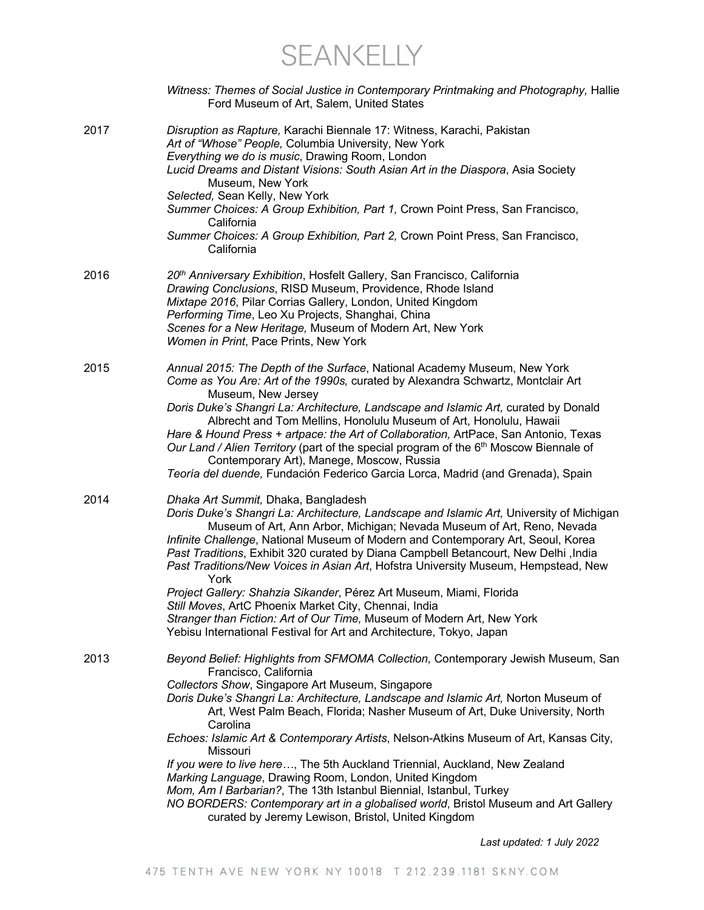SEANKELLY

|      | Witness: Themes of Social Justice in Contemporary Printmaking and Photography, Hallie<br>Ford Museum of Art, Salem, United States                                                                                                                                                                                                                                                                                                                                                                                                                                                                                                                                                                                                                                                                               |
|------|-----------------------------------------------------------------------------------------------------------------------------------------------------------------------------------------------------------------------------------------------------------------------------------------------------------------------------------------------------------------------------------------------------------------------------------------------------------------------------------------------------------------------------------------------------------------------------------------------------------------------------------------------------------------------------------------------------------------------------------------------------------------------------------------------------------------|
| 2017 | Disruption as Rapture, Karachi Biennale 17: Witness, Karachi, Pakistan<br>Art of "Whose" People, Columbia University, New York<br>Everything we do is music, Drawing Room, London<br>Lucid Dreams and Distant Visions: South Asian Art in the Diaspora, Asia Society<br>Museum, New York<br>Selected, Sean Kelly, New York<br>Summer Choices: A Group Exhibition, Part 1, Crown Point Press, San Francisco,<br>California<br>Summer Choices: A Group Exhibition, Part 2, Crown Point Press, San Francisco,<br>California                                                                                                                                                                                                                                                                                        |
| 2016 | 20 <sup>th</sup> Anniversary Exhibition, Hosfelt Gallery, San Francisco, California<br>Drawing Conclusions, RISD Museum, Providence, Rhode Island<br>Mixtape 2016, Pilar Corrias Gallery, London, United Kingdom<br>Performing Time, Leo Xu Projects, Shanghai, China<br>Scenes for a New Heritage, Museum of Modern Art, New York<br>Women in Print, Pace Prints, New York                                                                                                                                                                                                                                                                                                                                                                                                                                     |
| 2015 | Annual 2015: The Depth of the Surface, National Academy Museum, New York<br>Come as You Are: Art of the 1990s, curated by Alexandra Schwartz, Montclair Art<br>Museum, New Jersey<br>Doris Duke's Shangri La: Architecture, Landscape and Islamic Art, curated by Donald<br>Albrecht and Tom Mellins, Honolulu Museum of Art, Honolulu, Hawaii<br>Hare & Hound Press + artpace: the Art of Collaboration, ArtPace, San Antonio, Texas<br>Our Land / Alien Territory (part of the special program of the 6 <sup>th</sup> Moscow Biennale of<br>Contemporary Art), Manege, Moscow, Russia<br>Teoría del duende, Fundación Federico Garcia Lorca, Madrid (and Grenada), Spain                                                                                                                                      |
| 2014 | Dhaka Art Summit, Dhaka, Bangladesh<br>Doris Duke's Shangri La: Architecture, Landscape and Islamic Art, University of Michigan<br>Museum of Art, Ann Arbor, Michigan; Nevada Museum of Art, Reno, Nevada<br>Infinite Challenge, National Museum of Modern and Contemporary Art, Seoul, Korea<br>Past Traditions, Exhibit 320 curated by Diana Campbell Betancourt, New Delhi, India<br>Past Traditions/New Voices in Asian Art, Hofstra University Museum, Hempstead, New<br>York<br>Project Gallery: Shahzia Sikander, Pérez Art Museum, Miami, Florida<br>Still Moves, ArtC Phoenix Market City, Chennai, India<br>Stranger than Fiction: Art of Our Time, Museum of Modern Art, New York<br>Yebisu International Festival for Art and Architecture, Tokyo, Japan                                            |
| 2013 | Beyond Belief: Highlights from SFMOMA Collection, Contemporary Jewish Museum, San<br>Francisco, California<br>Collectors Show, Singapore Art Museum, Singapore<br>Doris Duke's Shangri La: Architecture, Landscape and Islamic Art, Norton Museum of<br>Art, West Palm Beach, Florida; Nasher Museum of Art, Duke University, North<br>Carolina<br>Echoes: Islamic Art & Contemporary Artists, Nelson-Atkins Museum of Art, Kansas City,<br>Missouri<br>If you were to live here, The 5th Auckland Triennial, Auckland, New Zealand<br>Marking Language, Drawing Room, London, United Kingdom<br>Mom, Am I Barbarian?, The 13th Istanbul Biennial, Istanbul, Turkey<br>NO BORDERS: Contemporary art in a globalised world, Bristol Museum and Art Gallery<br>curated by Jeremy Lewison, Bristol, United Kingdom |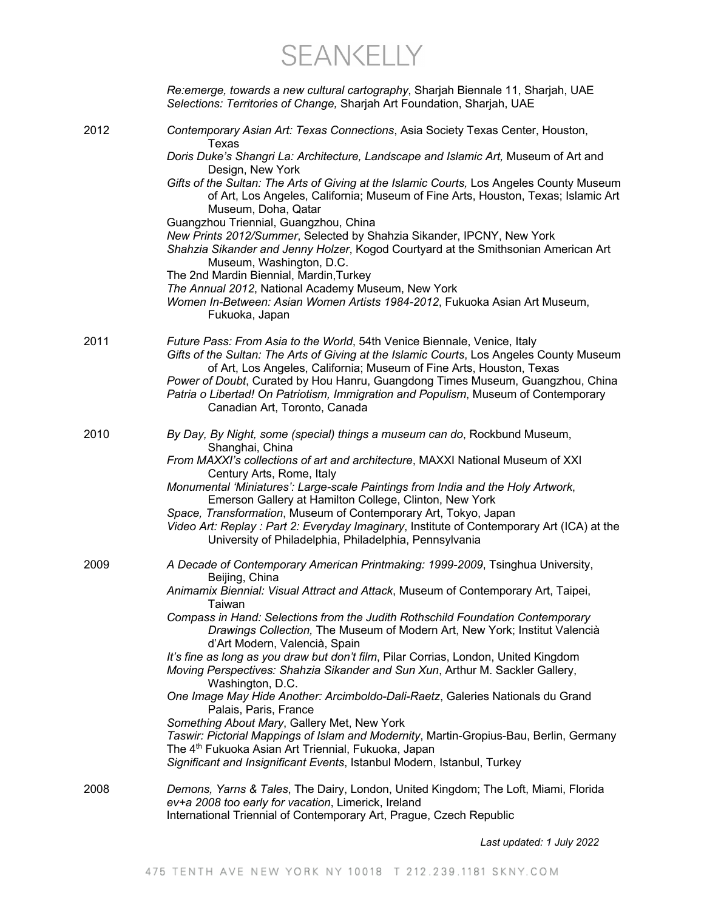SEANKELLY

|      | Re:emerge, towards a new cultural cartography, Sharjah Biennale 11, Sharjah, UAE<br>Selections: Territories of Change, Sharjah Art Foundation, Sharjah, UAE                                                                                                                                                                                                                                                                                           |
|------|-------------------------------------------------------------------------------------------------------------------------------------------------------------------------------------------------------------------------------------------------------------------------------------------------------------------------------------------------------------------------------------------------------------------------------------------------------|
| 2012 | Contemporary Asian Art: Texas Connections, Asia Society Texas Center, Houston,<br>Texas                                                                                                                                                                                                                                                                                                                                                               |
|      | Doris Duke's Shangri La: Architecture, Landscape and Islamic Art, Museum of Art and<br>Design, New York                                                                                                                                                                                                                                                                                                                                               |
|      | Gifts of the Sultan: The Arts of Giving at the Islamic Courts, Los Angeles County Museum<br>of Art, Los Angeles, California; Museum of Fine Arts, Houston, Texas; Islamic Art<br>Museum, Doha, Qatar<br>Guangzhou Triennial, Guangzhou, China                                                                                                                                                                                                         |
|      | New Prints 2012/Summer, Selected by Shahzia Sikander, IPCNY, New York<br>Shahzia Sikander and Jenny Holzer, Kogod Courtyard at the Smithsonian American Art<br>Museum, Washington, D.C.                                                                                                                                                                                                                                                               |
|      | The 2nd Mardin Biennial, Mardin, Turkey<br>The Annual 2012, National Academy Museum, New York<br>Women In-Between: Asian Women Artists 1984-2012, Fukuoka Asian Art Museum,<br>Fukuoka, Japan                                                                                                                                                                                                                                                         |
| 2011 | Future Pass: From Asia to the World, 54th Venice Biennale, Venice, Italy<br>Gifts of the Sultan: The Arts of Giving at the Islamic Courts, Los Angeles County Museum<br>of Art, Los Angeles, California; Museum of Fine Arts, Houston, Texas<br>Power of Doubt, Curated by Hou Hanru, Guangdong Times Museum, Guangzhou, China<br>Patria o Libertad! On Patriotism, Immigration and Populism, Museum of Contemporary<br>Canadian Art, Toronto, Canada |
| 2010 | By Day, By Night, some (special) things a museum can do, Rockbund Museum,<br>Shanghai, China                                                                                                                                                                                                                                                                                                                                                          |
|      | From MAXXI's collections of art and architecture, MAXXI National Museum of XXI<br>Century Arts, Rome, Italy<br>Monumental 'Miniatures': Large-scale Paintings from India and the Holy Artwork,                                                                                                                                                                                                                                                        |
|      | Emerson Gallery at Hamilton College, Clinton, New York<br>Space, Transformation, Museum of Contemporary Art, Tokyo, Japan                                                                                                                                                                                                                                                                                                                             |
|      | Video Art: Replay : Part 2: Everyday Imaginary, Institute of Contemporary Art (ICA) at the<br>University of Philadelphia, Philadelphia, Pennsylvania                                                                                                                                                                                                                                                                                                  |
| 2009 | A Decade of Contemporary American Printmaking: 1999-2009, Tsinghua University,<br>Beijing, China                                                                                                                                                                                                                                                                                                                                                      |
|      | Animamix Biennial: Visual Attract and Attack, Museum of Contemporary Art, Taipei,<br>Taiwan                                                                                                                                                                                                                                                                                                                                                           |
|      | Compass in Hand: Selections from the Judith Rothschild Foundation Contemporary<br>Drawings Collection, The Museum of Modern Art, New York; Institut Valencià<br>d'Art Modern, Valencià, Spain                                                                                                                                                                                                                                                         |
|      | It's fine as long as you draw but don't film, Pilar Corrias, London, United Kingdom<br>Moving Perspectives: Shahzia Sikander and Sun Xun, Arthur M. Sackler Gallery,                                                                                                                                                                                                                                                                                  |
|      | Washington, D.C.<br>One Image May Hide Another: Arcimboldo-Dali-Raetz, Galeries Nationals du Grand<br>Palais, Paris, France                                                                                                                                                                                                                                                                                                                           |
|      | Something About Mary, Gallery Met, New York<br>Taswir: Pictorial Mappings of Islam and Modernity, Martin-Gropius-Bau, Berlin, Germany                                                                                                                                                                                                                                                                                                                 |
|      | The 4 <sup>th</sup> Fukuoka Asian Art Triennial, Fukuoka, Japan<br>Significant and Insignificant Events, Istanbul Modern, Istanbul, Turkey                                                                                                                                                                                                                                                                                                            |
| 2008 | Demons, Yarns & Tales, The Dairy, London, United Kingdom; The Loft, Miami, Florida<br>ev+a 2008 too early for vacation, Limerick, Ireland                                                                                                                                                                                                                                                                                                             |
|      | International Triennial of Contemporary Art, Prague, Czech Republic                                                                                                                                                                                                                                                                                                                                                                                   |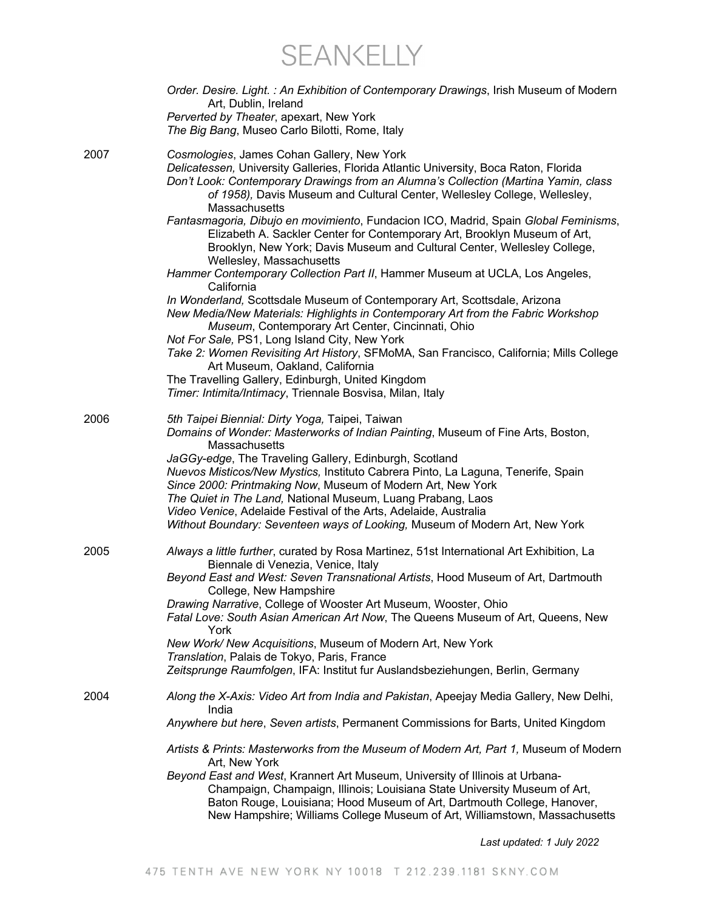SEANKELLY

|      | Order. Desire. Light.: An Exhibition of Contemporary Drawings, Irish Museum of Modern<br>Art, Dublin, Ireland<br>Perverted by Theater, apexart, New York<br>The Big Bang, Museo Carlo Bilotti, Rome, Italy                                                                                                                                                                                                                  |
|------|-----------------------------------------------------------------------------------------------------------------------------------------------------------------------------------------------------------------------------------------------------------------------------------------------------------------------------------------------------------------------------------------------------------------------------|
| 2007 | Cosmologies, James Cohan Gallery, New York<br>Delicatessen, University Galleries, Florida Atlantic University, Boca Raton, Florida<br>Don't Look: Contemporary Drawings from an Alumna's Collection (Martina Yamin, class<br>of 1958), Davis Museum and Cultural Center, Wellesley College, Wellesley,<br>Massachusetts                                                                                                     |
|      | Fantasmagoria, Dibujo en movimiento, Fundacion ICO, Madrid, Spain Global Feminisms,<br>Elizabeth A. Sackler Center for Contemporary Art, Brooklyn Museum of Art,<br>Brooklyn, New York; Davis Museum and Cultural Center, Wellesley College,<br>Wellesley, Massachusetts                                                                                                                                                    |
|      | Hammer Contemporary Collection Part II, Hammer Museum at UCLA, Los Angeles,<br>California                                                                                                                                                                                                                                                                                                                                   |
|      | In Wonderland, Scottsdale Museum of Contemporary Art, Scottsdale, Arizona<br>New Media/New Materials: Highlights in Contemporary Art from the Fabric Workshop<br>Museum, Contemporary Art Center, Cincinnati, Ohio<br>Not For Sale, PS1, Long Island City, New York                                                                                                                                                         |
|      | Take 2: Women Revisiting Art History, SFMoMA, San Francisco, California; Mills College<br>Art Museum, Oakland, California                                                                                                                                                                                                                                                                                                   |
|      | The Travelling Gallery, Edinburgh, United Kingdom                                                                                                                                                                                                                                                                                                                                                                           |
|      | Timer: Intimita/Intimacy, Triennale Bosvisa, Milan, Italy                                                                                                                                                                                                                                                                                                                                                                   |
| 2006 | 5th Taipei Biennial: Dirty Yoga, Taipei, Taiwan<br>Domains of Wonder: Masterworks of Indian Painting, Museum of Fine Arts, Boston,<br>Massachusetts                                                                                                                                                                                                                                                                         |
|      | JaGGy-edge, The Traveling Gallery, Edinburgh, Scotland<br>Nuevos Misticos/New Mystics, Instituto Cabrera Pinto, La Laguna, Tenerife, Spain<br>Since 2000: Printmaking Now, Museum of Modern Art, New York<br>The Quiet in The Land, National Museum, Luang Prabang, Laos<br>Video Venice, Adelaide Festival of the Arts, Adelaide, Australia<br>Without Boundary: Seventeen ways of Looking, Museum of Modern Art, New York |
| 2005 | Always a little further, curated by Rosa Martinez, 51st International Art Exhibition, La                                                                                                                                                                                                                                                                                                                                    |
|      | Biennale di Venezia, Venice, Italy<br>Beyond East and West: Seven Transnational Artists, Hood Museum of Art, Dartmouth<br>College, New Hampshire                                                                                                                                                                                                                                                                            |
|      | Drawing Narrative, College of Wooster Art Museum, Wooster, Ohio<br>Fatal Love: South Asian American Art Now, The Queens Museum of Art, Queens, New<br>York                                                                                                                                                                                                                                                                  |
|      | New Work/ New Acquisitions, Museum of Modern Art, New York<br>Translation, Palais de Tokyo, Paris, France                                                                                                                                                                                                                                                                                                                   |
|      | Zeitsprunge Raumfolgen, IFA: Institut fur Auslandsbeziehungen, Berlin, Germany                                                                                                                                                                                                                                                                                                                                              |
| 2004 | Along the X-Axis: Video Art from India and Pakistan, Apeejay Media Gallery, New Delhi,<br>India                                                                                                                                                                                                                                                                                                                             |
|      | Anywhere but here, Seven artists, Permanent Commissions for Barts, United Kingdom                                                                                                                                                                                                                                                                                                                                           |
|      | Artists & Prints: Masterworks from the Museum of Modern Art, Part 1, Museum of Modern<br>Art, New York                                                                                                                                                                                                                                                                                                                      |
|      | Beyond East and West, Krannert Art Museum, University of Illinois at Urbana-<br>Champaign, Champaign, Illinois; Louisiana State University Museum of Art,<br>Baton Rouge, Louisiana; Hood Museum of Art, Dartmouth College, Hanover,<br>New Hampshire; Williams College Museum of Art, Williamstown, Massachusetts                                                                                                          |
|      |                                                                                                                                                                                                                                                                                                                                                                                                                             |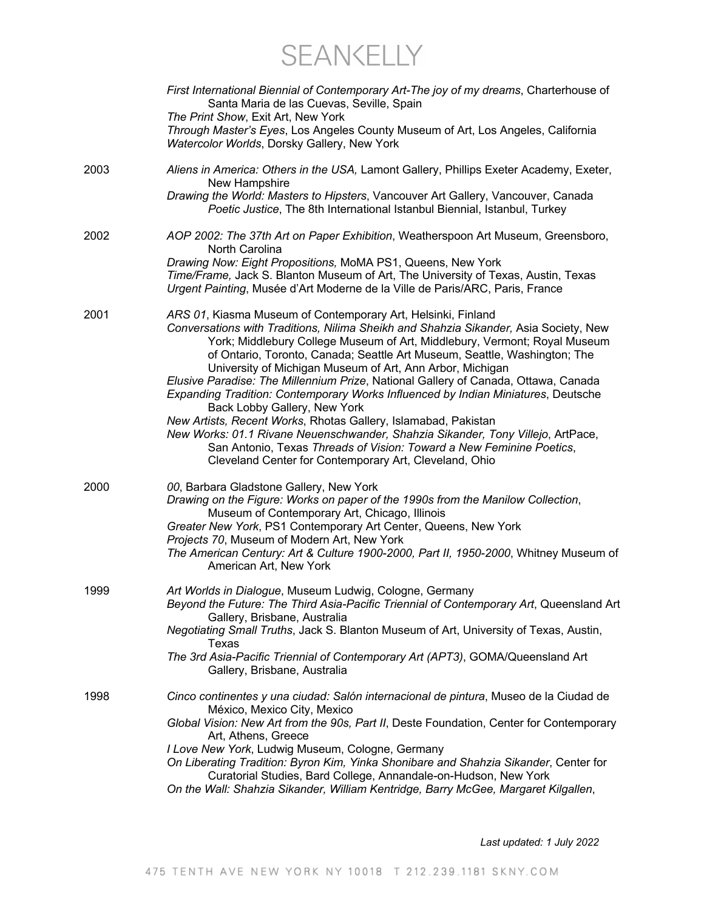SEANKELLY

|      | First International Biennial of Contemporary Art-The joy of my dreams, Charterhouse of<br>Santa Maria de las Cuevas, Seville, Spain<br>The Print Show, Exit Art, New York<br>Through Master's Eyes, Los Angeles County Museum of Art, Los Angeles, California<br>Watercolor Worlds, Dorsky Gallery, New York                                                                                                                                                                                                                                                                                                                                                                                                                                                                                                                                                                  |
|------|-------------------------------------------------------------------------------------------------------------------------------------------------------------------------------------------------------------------------------------------------------------------------------------------------------------------------------------------------------------------------------------------------------------------------------------------------------------------------------------------------------------------------------------------------------------------------------------------------------------------------------------------------------------------------------------------------------------------------------------------------------------------------------------------------------------------------------------------------------------------------------|
| 2003 | Aliens in America: Others in the USA, Lamont Gallery, Phillips Exeter Academy, Exeter,<br>New Hampshire<br>Drawing the World: Masters to Hipsters, Vancouver Art Gallery, Vancouver, Canada<br>Poetic Justice, The 8th International Istanbul Biennial, Istanbul, Turkey                                                                                                                                                                                                                                                                                                                                                                                                                                                                                                                                                                                                      |
| 2002 | AOP 2002: The 37th Art on Paper Exhibition, Weatherspoon Art Museum, Greensboro,<br>North Carolina<br>Drawing Now: Eight Propositions, MoMA PS1, Queens, New York<br>Time/Frame, Jack S. Blanton Museum of Art, The University of Texas, Austin, Texas<br>Urgent Painting, Musée d'Art Moderne de la Ville de Paris/ARC, Paris, France                                                                                                                                                                                                                                                                                                                                                                                                                                                                                                                                        |
| 2001 | ARS 01, Kiasma Museum of Contemporary Art, Helsinki, Finland<br>Conversations with Traditions, Nilima Sheikh and Shahzia Sikander, Asia Society, New<br>York; Middlebury College Museum of Art, Middlebury, Vermont; Royal Museum<br>of Ontario, Toronto, Canada; Seattle Art Museum, Seattle, Washington; The<br>University of Michigan Museum of Art, Ann Arbor, Michigan<br>Elusive Paradise: The Millennium Prize, National Gallery of Canada, Ottawa, Canada<br>Expanding Tradition: Contemporary Works Influenced by Indian Miniatures, Deutsche<br>Back Lobby Gallery, New York<br>New Artists, Recent Works, Rhotas Gallery, Islamabad, Pakistan<br>New Works: 01.1 Rivane Neuenschwander, Shahzia Sikander, Tony Villejo, ArtPace,<br>San Antonio, Texas Threads of Vision: Toward a New Feminine Poetics,<br>Cleveland Center for Contemporary Art, Cleveland, Ohio |
| 2000 | 00, Barbara Gladstone Gallery, New York<br>Drawing on the Figure: Works on paper of the 1990s from the Manilow Collection,<br>Museum of Contemporary Art, Chicago, Illinois<br>Greater New York, PS1 Contemporary Art Center, Queens, New York<br>Projects 70, Museum of Modern Art, New York<br>The American Century: Art & Culture 1900-2000, Part II, 1950-2000, Whitney Museum of<br>American Art, New York                                                                                                                                                                                                                                                                                                                                                                                                                                                               |
| 1999 | Art Worlds in Dialogue, Museum Ludwig, Cologne, Germany<br>Beyond the Future: The Third Asia-Pacific Triennial of Contemporary Art, Queensland Art<br>Gallery, Brisbane, Australia<br>Negotiating Small Truths, Jack S. Blanton Museum of Art, University of Texas, Austin,<br>Texas<br>The 3rd Asia-Pacific Triennial of Contemporary Art (APT3), GOMA/Queensland Art<br>Gallery, Brisbane, Australia                                                                                                                                                                                                                                                                                                                                                                                                                                                                        |
| 1998 | Cinco continentes y una ciudad: Salón internacional de pintura, Museo de la Ciudad de<br>México, Mexico City, Mexico<br>Global Vision: New Art from the 90s, Part II, Deste Foundation, Center for Contemporary<br>Art, Athens, Greece<br>I Love New York, Ludwig Museum, Cologne, Germany<br>On Liberating Tradition: Byron Kim, Yinka Shonibare and Shahzia Sikander, Center for<br>Curatorial Studies, Bard College, Annandale-on-Hudson, New York<br>On the Wall: Shahzia Sikander, William Kentridge, Barry McGee, Margaret Kilgallen,                                                                                                                                                                                                                                                                                                                                   |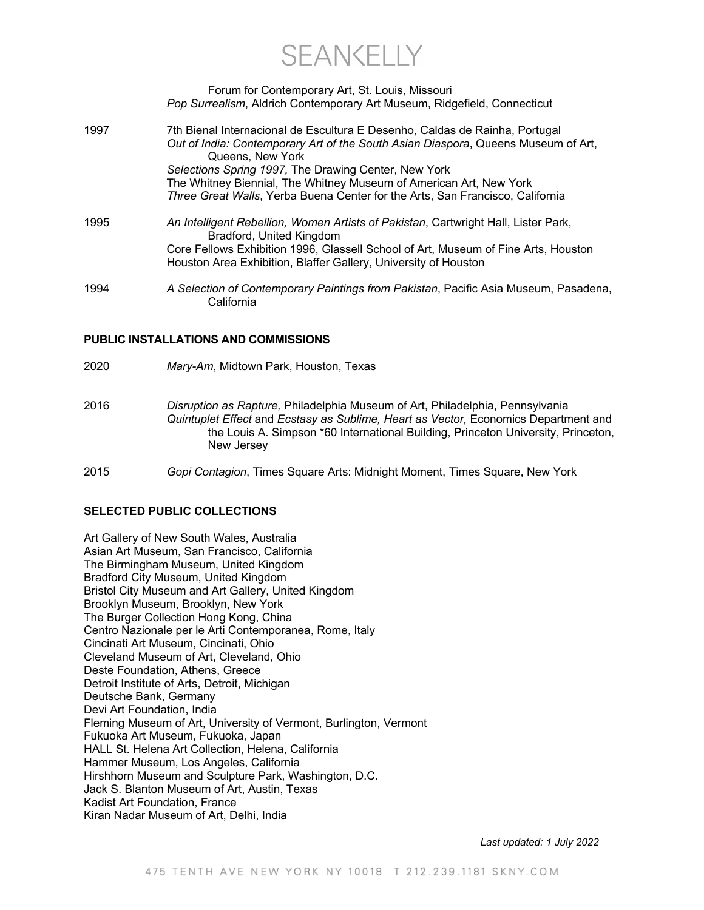**SEANKELLY** 

|      | Forum for Contemporary Art, St. Louis, Missouri<br>Pop Surrealism, Aldrich Contemporary Art Museum, Ridgefield, Connecticut |
|------|-----------------------------------------------------------------------------------------------------------------------------|
| 1997 | 7th Bienal Internacional de Escultura E Desenho, Caldas de Rainha, Portugal                                                 |
|      | Out of India: Contemporary Art of the South Asian Diaspora, Queens Museum of Art,<br>Queens, New York                       |
|      | Selections Spring 1997, The Drawing Center, New York                                                                        |
|      | The Whitney Biennial, The Whitney Museum of American Art, New York                                                          |
|      | Three Great Walls, Yerba Buena Center for the Arts, San Francisco, California                                               |
| 1005 | An Intelligent Rehellion, Women Artists of Pakistan, Cartwright Hall, Lister Park                                           |

- 1995 *An Intelligent Rebellion, Women Artists of Pakistan*, Cartwright Hall, Lister Park, Bradford, United Kingdom Core Fellows Exhibition 1996, Glassell School of Art, Museum of Fine Arts, Houston Houston Area Exhibition, Blaffer Gallery, University of Houston
- 1994 *A Selection of Contemporary Paintings from Pakistan*, Pacific Asia Museum, Pasadena, **California**

#### **PUBLIC INSTALLATIONS AND COMMISSIONS**

2020 *Mary-Am*, Midtown Park, Houston, Texas 2016 *Disruption as Rapture,* Philadelphia Museum of Art, Philadelphia, Pennsylvania *Quintuplet Effect* and *Ecstasy as Sublime, Heart as Vector,* Economics Department and the Louis A. Simpson \*60 International Building, Princeton University, Princeton, New Jersey 2015 *Gopi Contagion*, Times Square Arts: Midnight Moment, Times Square, New York

### **SELECTED PUBLIC COLLECTIONS**

| Art Gallery of New South Wales, Australia                         |
|-------------------------------------------------------------------|
| Asian Art Museum, San Francisco, California                       |
| The Birmingham Museum, United Kingdom                             |
| Bradford City Museum, United Kingdom                              |
| Bristol City Museum and Art Gallery, United Kingdom               |
| Brooklyn Museum, Brooklyn, New York                               |
| The Burger Collection Hong Kong, China                            |
| Centro Nazionale per le Arti Contemporanea, Rome, Italy           |
| Cincinati Art Museum, Cincinati, Ohio                             |
| Cleveland Museum of Art, Cleveland, Ohio                          |
| Deste Foundation, Athens, Greece                                  |
| Detroit Institute of Arts, Detroit, Michigan                      |
| Deutsche Bank, Germany                                            |
| Devi Art Foundation, India                                        |
| Fleming Museum of Art, University of Vermont, Burlington, Vermont |
| Fukuoka Art Museum, Fukuoka, Japan                                |
| HALL St. Helena Art Collection, Helena, California                |
| Hammer Museum, Los Angeles, California                            |
| Hirshhorn Museum and Sculpture Park, Washington, D.C.             |
| Jack S. Blanton Museum of Art, Austin, Texas                      |
| Kadist Art Foundation, France                                     |
| Kiran Nadar Museum of Art, Delhi, India                           |
|                                                                   |